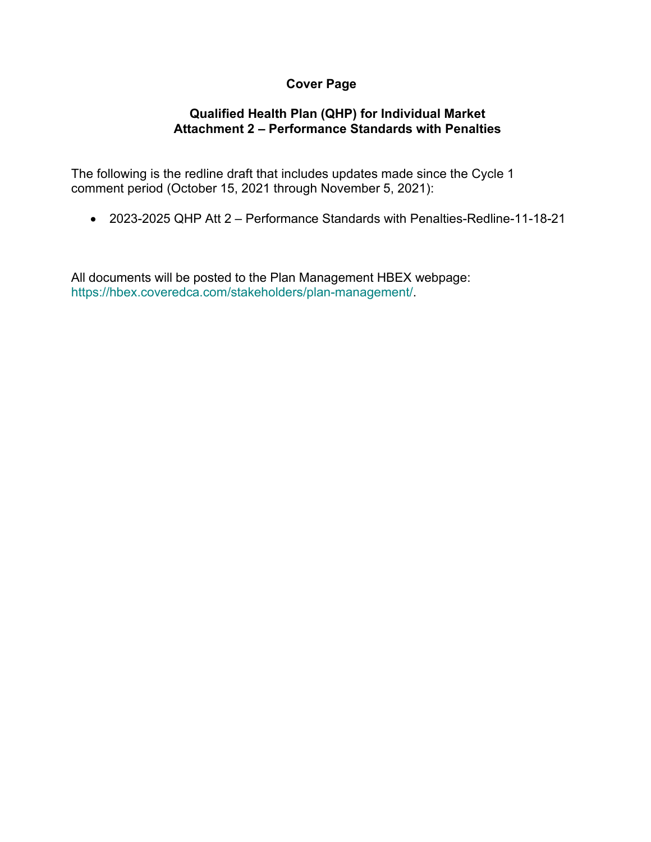# **Cover Page**

# **Qualified Health Plan (QHP) for Individual Market Attachment 2 – Performance Standards with Penalties**

The following is the redline draft that includes updates made since the Cycle 1 comment period (October 15, 2021 through November 5, 2021):

• 2023-2025 QHP Att 2 – Performance Standards with Penalties-Redline-11-18-21

All documents will be posted to the Plan Management HBEX webpage: https://hbex.coveredca.com/stakeholders/plan-management/.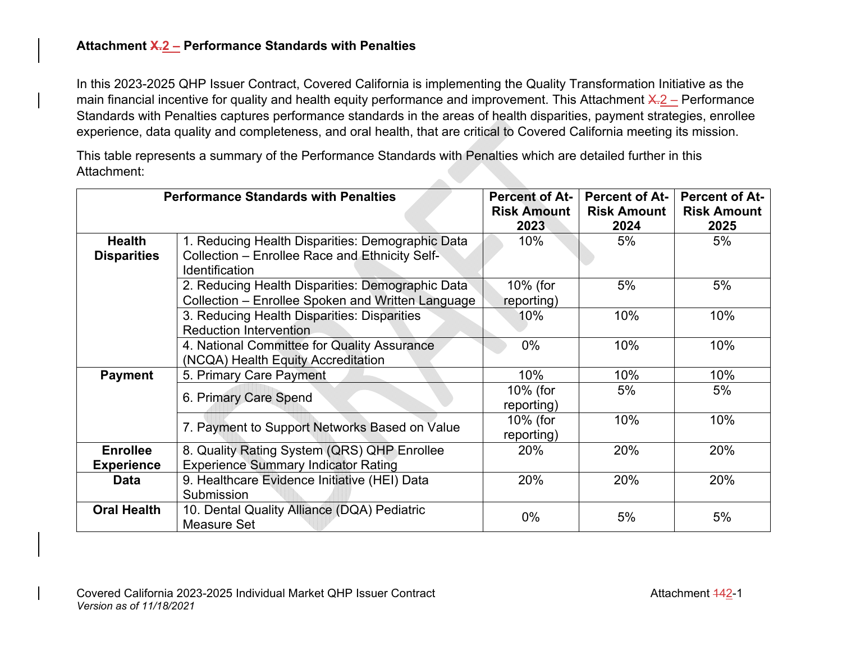# **Attachment X.2 – Performance Standards with Penalties**

In this 2023-2025 QHP Issuer Contract, Covered California is implementing the Quality Transformation Initiative as the main financial incentive for quality and health equity performance and improvement. This Attachment  $X-2$  – Performance Standards with Penalties captures performance standards in the areas of health disparities, payment strategies, enrollee experience, data quality and completeness, and oral health, that are critical to Covered California meeting its mission.

This table represents a summary of the Performance Standards with Penalties which are detailed further in this Attachment:  $\Delta \mathcal{D}$ 

|                    | <b>Performance Standards with Penalties</b>       | <b>Percent of At-</b> | <b>Percent of At-</b> | <b>Percent of At-</b> |
|--------------------|---------------------------------------------------|-----------------------|-----------------------|-----------------------|
|                    |                                                   | <b>Risk Amount</b>    | <b>Risk Amount</b>    | <b>Risk Amount</b>    |
|                    |                                                   | 2023                  | 2024                  | 2025                  |
| <b>Health</b>      | 1. Reducing Health Disparities: Demographic Data  | 10%                   | 5%                    | 5%                    |
| <b>Disparities</b> | Collection - Enrollee Race and Ethnicity Self-    |                       |                       |                       |
|                    | <b>Identification</b>                             |                       |                       |                       |
|                    | 2. Reducing Health Disparities: Demographic Data  | 10% (for              | 5%                    | 5%                    |
|                    | Collection – Enrollee Spoken and Written Language | reporting)            |                       |                       |
|                    | 3. Reducing Health Disparities: Disparities       | 10%                   | 10%                   | 10%                   |
|                    | <b>Reduction Intervention</b>                     |                       |                       |                       |
|                    | 4. National Committee for Quality Assurance       | $0\%$                 | 10%                   | 10%                   |
|                    | (NCQA) Health Equity Accreditation                |                       |                       |                       |
| <b>Payment</b>     | 5. Primary Care Payment                           | 10%                   | 10%                   | 10%                   |
|                    |                                                   | 10% (for              | 5%                    | 5%                    |
|                    | 6. Primary Care Spend                             | reporting)            |                       |                       |
|                    | 7. Payment to Support Networks Based on Value     | 10% (for              | 10%                   | 10%                   |
|                    |                                                   | reporting)            |                       |                       |
| <b>Enrollee</b>    | 8. Quality Rating System (QRS) QHP Enrollee       | 20%                   | 20%                   | 20%                   |
| <b>Experience</b>  | <b>Experience Summary Indicator Rating</b>        |                       |                       |                       |
| Data               | 9. Healthcare Evidence Initiative (HEI) Data      | 20%                   | 20%                   | 20%                   |
|                    | Submission                                        |                       |                       |                       |
| <b>Oral Health</b> | 10. Dental Quality Alliance (DQA) Pediatric       | $0\%$                 |                       |                       |
|                    | Measure Set                                       |                       | 5%                    | 5%                    |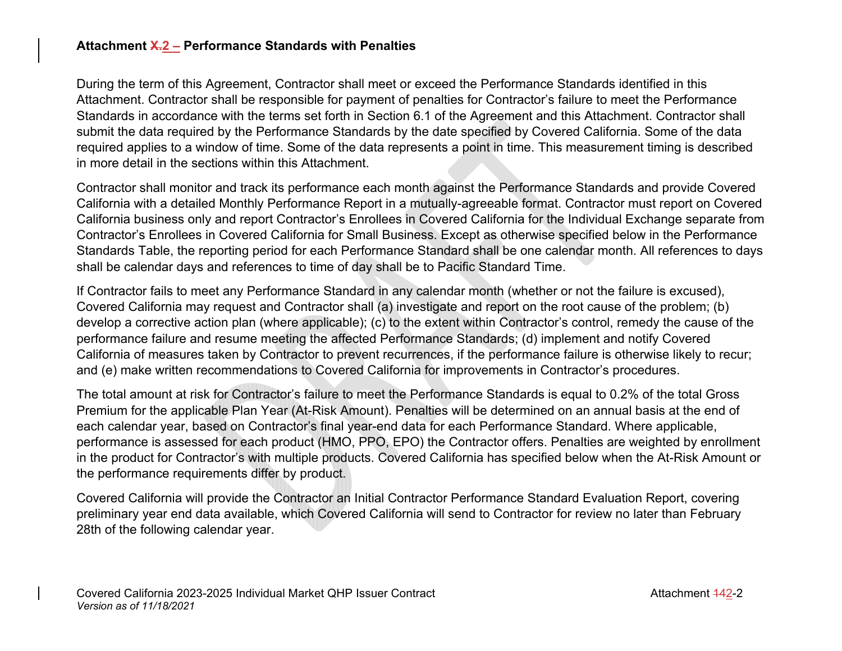## **Attachment X.2 – Performance Standards with Penalties**

During the term of this Agreement, Contractor shall meet or exceed the Performance Standards identified in this Attachment. Contractor shall be responsible for payment of penalties for Contractor's failure to meet the Performance Standards in accordance with the terms set forth in Section 6.1 of the Agreement and this Attachment. Contractor shall submit the data required by the Performance Standards by the date specified by Covered California. Some of the data required applies to a window of time. Some of the data represents a point in time. This measurement timing is described in more detail in the sections within this Attachment.

Contractor shall monitor and track its performance each month against the Performance Standards and provide Covered California with a detailed Monthly Performance Report in a mutually-agreeable format. Contractor must report on Covered California business only and report Contractor's Enrollees in Covered California for the Individual Exchange separate from Contractor's Enrollees in Covered California for Small Business. Except as otherwise specified below in the Performance Standards Table, the reporting period for each Performance Standard shall be one calendar month. All references to days shall be calendar days and references to time of day shall be to Pacific Standard Time.

If Contractor fails to meet any Performance Standard in any calendar month (whether or not the failure is excused), Covered California may request and Contractor shall (a) investigate and report on the root cause of the problem; (b) develop a corrective action plan (where applicable); (c) to the extent within Contractor's control, remedy the cause of the performance failure and resume meeting the affected Performance Standards; (d) implement and notify Covered California of measures taken by Contractor to prevent recurrences, if the performance failure is otherwise likely to recur; and (e) make written recommendations to Covered California for improvements in Contractor's procedures.

The total amount at risk for Contractor's failure to meet the Performance Standards is equal to 0.2% of the total Gross Premium for the applicable Plan Year (At-Risk Amount). Penalties will be determined on an annual basis at the end of each calendar year, based on Contractor's final year-end data for each Performance Standard. Where applicable, performance is assessed for each product (HMO, PPO, EPO) the Contractor offers. Penalties are weighted by enrollment in the product for Contractor's with multiple products. Covered California has specified below when the At-Risk Amount or the performance requirements differ by product.

Covered California will provide the Contractor an Initial Contractor Performance Standard Evaluation Report, covering preliminary year end data available, which Covered California will send to Contractor for review no later than February 28th of the following calendar year.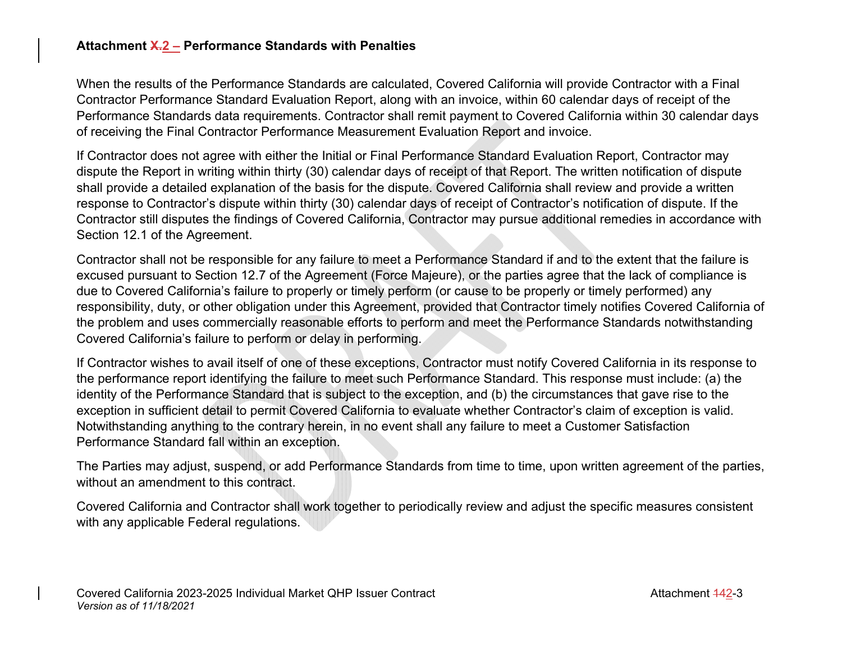### **Attachment X.2 – Performance Standards with Penalties**

When the results of the Performance Standards are calculated, Covered California will provide Contractor with a Final Contractor Performance Standard Evaluation Report, along with an invoice, within 60 calendar days of receipt of the Performance Standards data requirements. Contractor shall remit payment to Covered California within 30 calendar days of receiving the Final Contractor Performance Measurement Evaluation Report and invoice.

If Contractor does not agree with either the Initial or Final Performance Standard Evaluation Report, Contractor may dispute the Report in writing within thirty (30) calendar days of receipt of that Report. The written notification of dispute shall provide a detailed explanation of the basis for the dispute. Covered California shall review and provide a written response to Contractor's dispute within thirty (30) calendar days of receipt of Contractor's notification of dispute. If the Contractor still disputes the findings of Covered California, Contractor may pursue additional remedies in accordance with Section 12.1 of the Agreement.

Contractor shall not be responsible for any failure to meet a Performance Standard if and to the extent that the failure is excused pursuant to Section 12.7 of the Agreement (Force Majeure), or the parties agree that the lack of compliance is due to Covered California's failure to properly or timely perform (or cause to be properly or timely performed) any responsibility, duty, or other obligation under this Agreement, provided that Contractor timely notifies Covered California of the problem and uses commercially reasonable efforts to perform and meet the Performance Standards notwithstanding Covered California's failure to perform or delay in performing.

If Contractor wishes to avail itself of one of these exceptions, Contractor must notify Covered California in its response to the performance report identifying the failure to meet such Performance Standard. This response must include: (a) the identity of the Performance Standard that is subject to the exception, and (b) the circumstances that gave rise to the exception in sufficient detail to permit Covered California to evaluate whether Contractor's claim of exception is valid. Notwithstanding anything to the contrary herein, in no event shall any failure to meet a Customer Satisfaction Performance Standard fall within an exception.

The Parties may adjust, suspend, or add Performance Standards from time to time, upon written agreement of the parties, without an amendment to this contract.

Covered California and Contractor shall work together to periodically review and adjust the specific measures consistent with any applicable Federal regulations.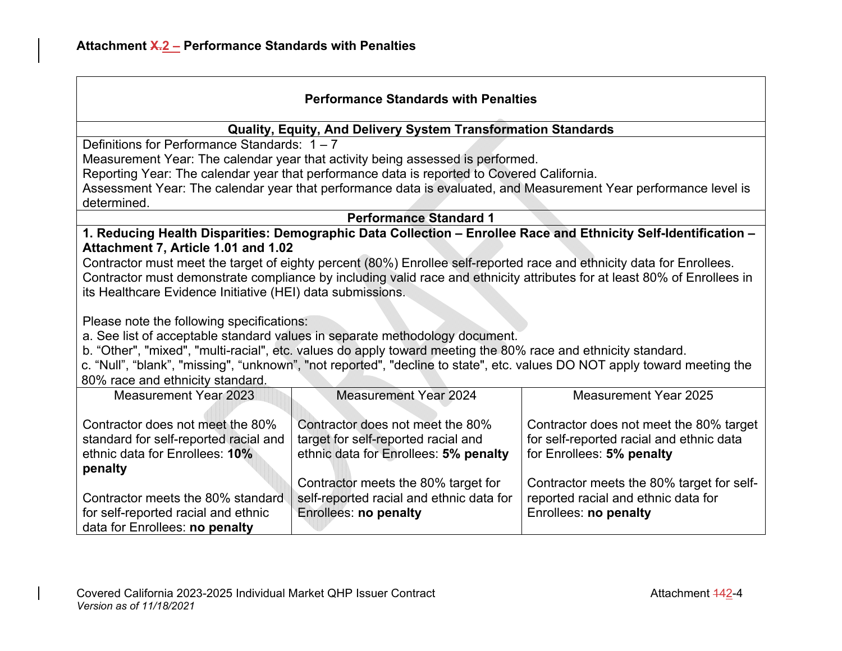# **Quality, Equity, And Delivery System Transformation Standards**

Definitions for Performance Standards: 1 – 7

Measurement Year: The calendar year that activity being assessed is performed.

Reporting Year: The calendar year that performance data is reported to Covered California.

Assessment Year: The calendar year that performance data is evaluated, and Measurement Year performance level is determined.

**Performance Standard 1** 

**1. Reducing Health Disparities: Demographic Data Collection – Enrollee Race and Ethnicity Self-Identification – Attachment 7, Article 1.01 and 1.02** 

Contractor must meet the target of eighty percent (80%) Enrollee self-reported race and ethnicity data for Enrollees. Contractor must demonstrate compliance by including valid race and ethnicity attributes for at least 80% of Enrollees in its Healthcare Evidence Initiative (HEI) data submissions.

Please note the following specifications:

a. See list of acceptable standard values in separate methodology document.

b. "Other", "mixed", "multi-racial", etc. values do apply toward meeting the 80% race and ethnicity standard.

c. "Null", "blank", "missing", "unknown", "not reported", "decline to state", etc. values DO NOT apply toward meeting the 80% race and ethnicity standard.

| Measurement Year 2023                                                                                                  | <b>Measurement Year 2024</b>                                                                                     | Measurement Year 2025                                                                                            |
|------------------------------------------------------------------------------------------------------------------------|------------------------------------------------------------------------------------------------------------------|------------------------------------------------------------------------------------------------------------------|
| Contractor does not meet the 80%<br>standard for self-reported racial and<br>ethnic data for Enrollees: 10%<br>penalty | Contractor does not meet the 80%<br>target for self-reported racial and<br>ethnic data for Enrollees: 5% penalty | Contractor does not meet the 80% target<br>for self-reported racial and ethnic data<br>for Enrollees: 5% penalty |
| Contractor meets the 80% standard<br>for self-reported racial and ethnic<br>data for Enrollees: no penalty             | Contractor meets the 80% target for<br>self-reported racial and ethnic data for<br><b>Enrollees: no penalty</b>  | Contractor meets the 80% target for self-<br>reported racial and ethnic data for<br>Enrollees: no penalty        |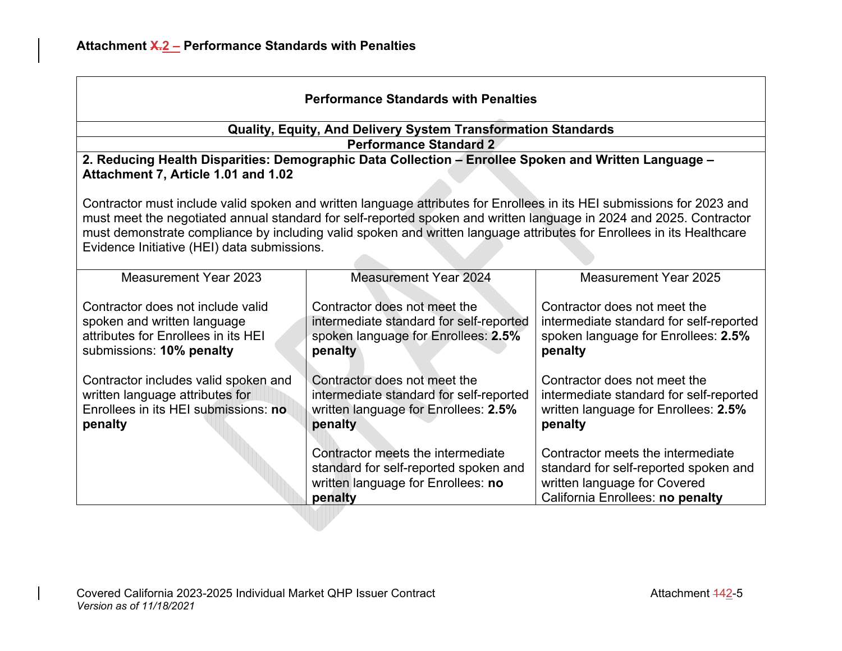| <b>Performance Standards with Penalties</b>                                                                                                                                                                                                                                                                                                                                                                           |                                                                                                                             |                                                                                                                                                |
|-----------------------------------------------------------------------------------------------------------------------------------------------------------------------------------------------------------------------------------------------------------------------------------------------------------------------------------------------------------------------------------------------------------------------|-----------------------------------------------------------------------------------------------------------------------------|------------------------------------------------------------------------------------------------------------------------------------------------|
|                                                                                                                                                                                                                                                                                                                                                                                                                       | <b>Quality, Equity, And Delivery System Transformation Standards</b>                                                        |                                                                                                                                                |
|                                                                                                                                                                                                                                                                                                                                                                                                                       | <b>Performance Standard 2</b>                                                                                               |                                                                                                                                                |
| Attachment 7, Article 1.01 and 1.02                                                                                                                                                                                                                                                                                                                                                                                   | 2. Reducing Health Disparities: Demographic Data Collection - Enrollee Spoken and Written Language -                        |                                                                                                                                                |
| Contractor must include valid spoken and written language attributes for Enrollees in its HEI submissions for 2023 and<br>must meet the negotiated annual standard for self-reported spoken and written language in 2024 and 2025. Contractor<br>must demonstrate compliance by including valid spoken and written language attributes for Enrollees in its Healthcare<br>Evidence Initiative (HEI) data submissions. |                                                                                                                             |                                                                                                                                                |
| <b>Measurement Year 2023</b>                                                                                                                                                                                                                                                                                                                                                                                          | <b>Measurement Year 2024</b>                                                                                                | <b>Measurement Year 2025</b>                                                                                                                   |
| Contractor does not include valid<br>spoken and written language<br>attributes for Enrollees in its HEI<br>submissions: 10% penalty                                                                                                                                                                                                                                                                                   | Contractor does not meet the<br>intermediate standard for self-reported<br>spoken language for Enrollees: 2.5%<br>penalty   | Contractor does not meet the<br>intermediate standard for self-reported<br>spoken language for Enrollees: 2.5%<br>penalty                      |
| Contractor includes valid spoken and<br>written language attributes for<br>Enrollees in its HEI submissions: no<br>penalty                                                                                                                                                                                                                                                                                            | Contractor does not meet the<br>intermediate standard for self-reported<br>written language for Enrollees: 2.5%<br>penalty  | Contractor does not meet the<br>intermediate standard for self-reported<br>written language for Enrollees: 2.5%<br>penalty                     |
|                                                                                                                                                                                                                                                                                                                                                                                                                       | Contractor meets the intermediate<br>standard for self-reported spoken and<br>written language for Enrollees: no<br>penalty | Contractor meets the intermediate<br>standard for self-reported spoken and<br>written language for Covered<br>California Enrollees: no penalty |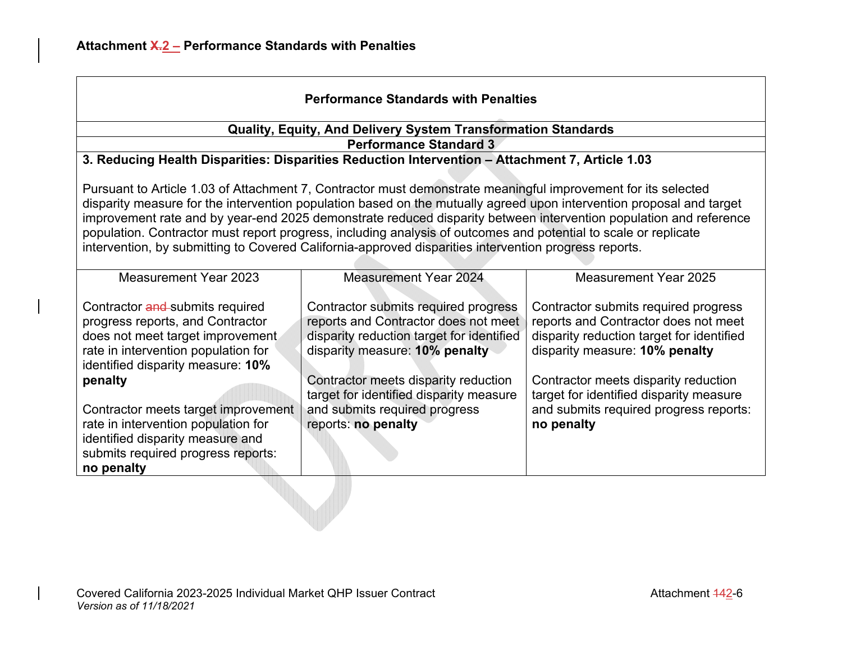| <b>Performance Standards with Penalties</b>                                                                                                                                                                                                                                                                                                                                                                                                                                                                                                                                            |                                                                                                                                                                                                                                                |                                                                                                                                                                                                                                                |
|----------------------------------------------------------------------------------------------------------------------------------------------------------------------------------------------------------------------------------------------------------------------------------------------------------------------------------------------------------------------------------------------------------------------------------------------------------------------------------------------------------------------------------------------------------------------------------------|------------------------------------------------------------------------------------------------------------------------------------------------------------------------------------------------------------------------------------------------|------------------------------------------------------------------------------------------------------------------------------------------------------------------------------------------------------------------------------------------------|
|                                                                                                                                                                                                                                                                                                                                                                                                                                                                                                                                                                                        | <b>Quality, Equity, And Delivery System Transformation Standards</b>                                                                                                                                                                           |                                                                                                                                                                                                                                                |
|                                                                                                                                                                                                                                                                                                                                                                                                                                                                                                                                                                                        | <b>Performance Standard 3</b>                                                                                                                                                                                                                  |                                                                                                                                                                                                                                                |
|                                                                                                                                                                                                                                                                                                                                                                                                                                                                                                                                                                                        | 3. Reducing Health Disparities: Disparities Reduction Intervention - Attachment 7, Article 1.03                                                                                                                                                |                                                                                                                                                                                                                                                |
| Pursuant to Article 1.03 of Attachment 7, Contractor must demonstrate meaningful improvement for its selected<br>disparity measure for the intervention population based on the mutually agreed upon intervention proposal and target<br>improvement rate and by year-end 2025 demonstrate reduced disparity between intervention population and reference<br>population. Contractor must report progress, including analysis of outcomes and potential to scale or replicate<br>intervention, by submitting to Covered California-approved disparities intervention progress reports. |                                                                                                                                                                                                                                                |                                                                                                                                                                                                                                                |
| <b>Measurement Year 2023</b>                                                                                                                                                                                                                                                                                                                                                                                                                                                                                                                                                           | <b>Measurement Year 2024</b>                                                                                                                                                                                                                   | <b>Measurement Year 2025</b>                                                                                                                                                                                                                   |
| Contractor and submits required<br>progress reports, and Contractor<br>does not meet target improvement<br>rate in intervention population for<br>identified disparity measure: 10%<br>penalty                                                                                                                                                                                                                                                                                                                                                                                         | Contractor submits required progress<br>reports and Contractor does not meet<br>disparity reduction target for identified<br>disparity measure: 10% penalty<br>Contractor meets disparity reduction<br>target for identified disparity measure | Contractor submits required progress<br>reports and Contractor does not meet<br>disparity reduction target for identified<br>disparity measure: 10% penalty<br>Contractor meets disparity reduction<br>target for identified disparity measure |
| Contractor meets target improvement<br>rate in intervention population for<br>identified disparity measure and<br>submits required progress reports:<br>no penalty                                                                                                                                                                                                                                                                                                                                                                                                                     | and submits required progress<br>reports: no penalty                                                                                                                                                                                           | and submits required progress reports:<br>no penalty                                                                                                                                                                                           |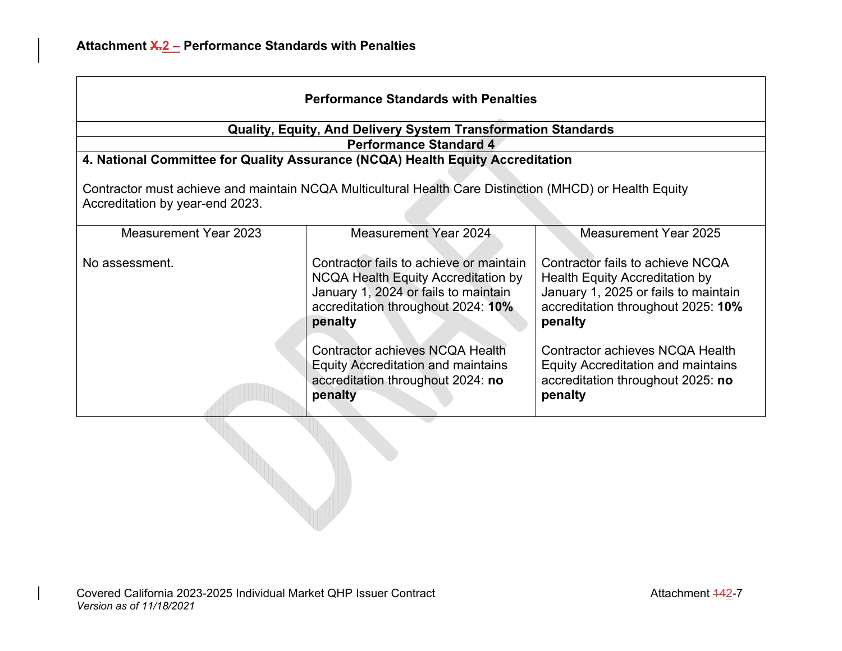| <b>Performance Standards with Penalties</b>                                                                                                |                                                                                                                                                                                |                                                                                                                                                             |
|--------------------------------------------------------------------------------------------------------------------------------------------|--------------------------------------------------------------------------------------------------------------------------------------------------------------------------------|-------------------------------------------------------------------------------------------------------------------------------------------------------------|
|                                                                                                                                            | <b>Quality, Equity, And Delivery System Transformation Standards</b>                                                                                                           |                                                                                                                                                             |
|                                                                                                                                            | <b>Performance Standard 4</b>                                                                                                                                                  |                                                                                                                                                             |
|                                                                                                                                            | 4. National Committee for Quality Assurance (NCQA) Health Equity Accreditation                                                                                                 |                                                                                                                                                             |
| Contractor must achieve and maintain NCQA Multicultural Health Care Distinction (MHCD) or Health Equity<br>Accreditation by year-end 2023. |                                                                                                                                                                                |                                                                                                                                                             |
| Measurement Year 2023                                                                                                                      | Measurement Year 2024                                                                                                                                                          | Measurement Year 2025                                                                                                                                       |
| No assessment.                                                                                                                             | Contractor fails to achieve or maintain<br><b>NCQA Health Equity Accreditation by</b><br>January 1, 2024 or fails to maintain<br>accreditation throughout 2024: 10%<br>penalty | Contractor fails to achieve NCQA<br>Health Equity Accreditation by<br>January 1, 2025 or fails to maintain<br>accreditation throughout 2025: 10%<br>penalty |
|                                                                                                                                            | Contractor achieves NCQA Health<br><b>Equity Accreditation and maintains</b><br>accreditation throughout 2024: no<br>penalty                                                   | Contractor achieves NCQA Health<br><b>Equity Accreditation and maintains</b><br>accreditation throughout 2025: no<br>penalty                                |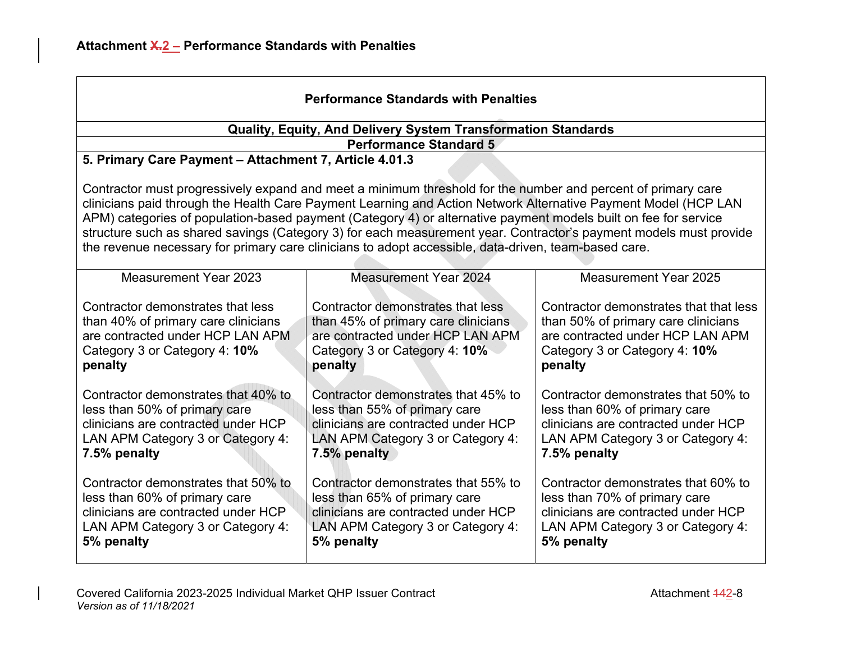| <b>Performance Standards with Penalties</b>                                                                                                                                                                                                                                                                                                                                                                                                                                                                                                                                    |                                                                                                                                                                  |                                                                                                                                                                  |
|--------------------------------------------------------------------------------------------------------------------------------------------------------------------------------------------------------------------------------------------------------------------------------------------------------------------------------------------------------------------------------------------------------------------------------------------------------------------------------------------------------------------------------------------------------------------------------|------------------------------------------------------------------------------------------------------------------------------------------------------------------|------------------------------------------------------------------------------------------------------------------------------------------------------------------|
|                                                                                                                                                                                                                                                                                                                                                                                                                                                                                                                                                                                | Quality, Equity, And Delivery System Transformation Standards                                                                                                    |                                                                                                                                                                  |
|                                                                                                                                                                                                                                                                                                                                                                                                                                                                                                                                                                                | <b>Performance Standard 5</b>                                                                                                                                    |                                                                                                                                                                  |
| 5. Primary Care Payment - Attachment 7, Article 4.01.3                                                                                                                                                                                                                                                                                                                                                                                                                                                                                                                         |                                                                                                                                                                  |                                                                                                                                                                  |
| Contractor must progressively expand and meet a minimum threshold for the number and percent of primary care<br>clinicians paid through the Health Care Payment Learning and Action Network Alternative Payment Model (HCP LAN<br>APM) categories of population-based payment (Category 4) or alternative payment models built on fee for service<br>structure such as shared savings (Category 3) for each measurement year. Contractor's payment models must provide<br>the revenue necessary for primary care clinicians to adopt accessible, data-driven, team-based care. |                                                                                                                                                                  |                                                                                                                                                                  |
| <b>Measurement Year 2023</b>                                                                                                                                                                                                                                                                                                                                                                                                                                                                                                                                                   | <b>Measurement Year 2024</b>                                                                                                                                     | <b>Measurement Year 2025</b>                                                                                                                                     |
| Contractor demonstrates that less<br>than 40% of primary care clinicians<br>are contracted under HCP LAN APM<br>Category 3 or Category 4: 10%<br>penalty                                                                                                                                                                                                                                                                                                                                                                                                                       | Contractor demonstrates that less<br>than 45% of primary care clinicians<br>are contracted under HCP LAN APM<br>Category 3 or Category 4: 10%<br>penalty         | Contractor demonstrates that that less<br>than 50% of primary care clinicians<br>are contracted under HCP LAN APM<br>Category 3 or Category 4: 10%<br>penalty    |
| Contractor demonstrates that 40% to<br>less than 50% of primary care<br>clinicians are contracted under HCP<br>LAN APM Category 3 or Category 4:<br>7.5% penalty                                                                                                                                                                                                                                                                                                                                                                                                               | Contractor demonstrates that 45% to<br>less than 55% of primary care<br>clinicians are contracted under HCP<br>LAN APM Category 3 or Category 4:<br>7.5% penalty | Contractor demonstrates that 50% to<br>less than 60% of primary care<br>clinicians are contracted under HCP<br>LAN APM Category 3 or Category 4:<br>7.5% penalty |
| Contractor demonstrates that 50% to<br>less than 60% of primary care<br>clinicians are contracted under HCP<br>LAN APM Category 3 or Category 4:<br>5% penalty                                                                                                                                                                                                                                                                                                                                                                                                                 | Contractor demonstrates that 55% to<br>less than 65% of primary care<br>clinicians are contracted under HCP<br>LAN APM Category 3 or Category 4:<br>5% penalty   | Contractor demonstrates that 60% to<br>less than 70% of primary care<br>clinicians are contracted under HCP<br>LAN APM Category 3 or Category 4:<br>5% penalty   |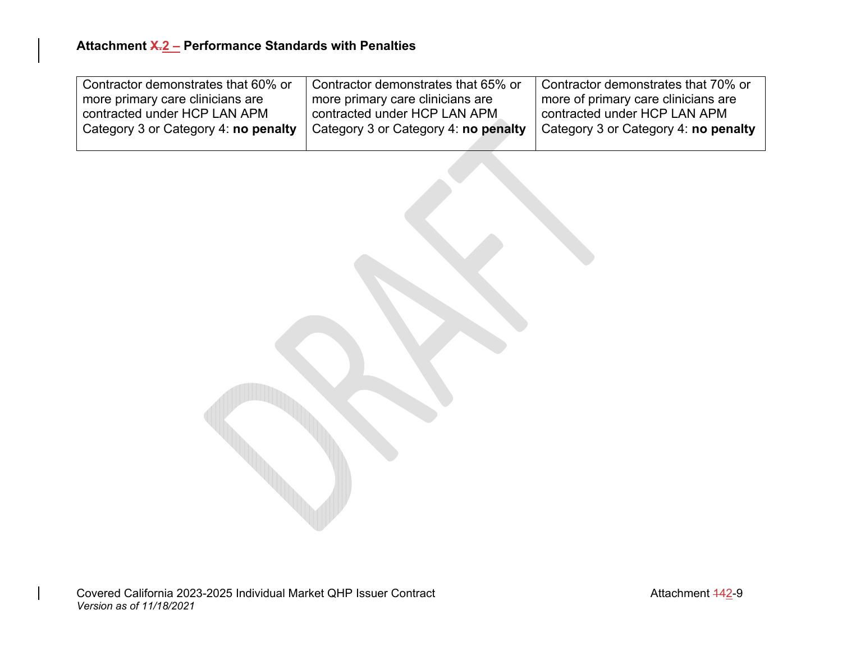| Contractor demonstrates that 60% or  | Contractor demonstrates that 65% or  | Contractor demonstrates that 70% or  |
|--------------------------------------|--------------------------------------|--------------------------------------|
| ' more primary care clinicians are   | more primary care clinicians are     | more of primary care clinicians are  |
| contracted under HCP LAN APM         | contracted under HCP LAN APM         | contracted under HCP LAN APM         |
| Category 3 or Category 4: no penalty | Category 3 or Category 4: no penalty | Category 3 or Category 4: no penalty |
|                                      |                                      |                                      |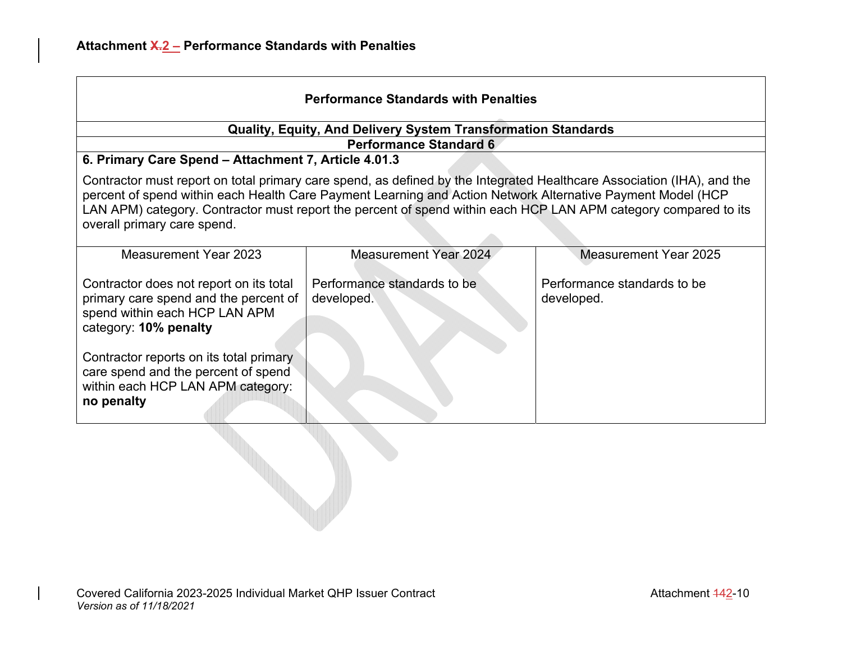| <b>Performance Standards with Penalties</b>                                                                                                                                                                                                                                                                                                                                             |                                                                      |                                           |
|-----------------------------------------------------------------------------------------------------------------------------------------------------------------------------------------------------------------------------------------------------------------------------------------------------------------------------------------------------------------------------------------|----------------------------------------------------------------------|-------------------------------------------|
|                                                                                                                                                                                                                                                                                                                                                                                         | <b>Quality, Equity, And Delivery System Transformation Standards</b> |                                           |
|                                                                                                                                                                                                                                                                                                                                                                                         | <b>Performance Standard 6</b>                                        |                                           |
| 6. Primary Care Spend - Attachment 7, Article 4.01.3                                                                                                                                                                                                                                                                                                                                    |                                                                      |                                           |
| Contractor must report on total primary care spend, as defined by the Integrated Healthcare Association (IHA), and the<br>percent of spend within each Health Care Payment Learning and Action Network Alternative Payment Model (HCP<br>LAN APM) category. Contractor must report the percent of spend within each HCP LAN APM category compared to its<br>overall primary care spend. |                                                                      |                                           |
| Measurement Year 2023                                                                                                                                                                                                                                                                                                                                                                   | <b>Measurement Year 2024</b>                                         | <b>Measurement Year 2025</b>              |
| Contractor does not report on its total<br>primary care spend and the percent of<br>spend within each HCP LAN APM<br>category: 10% penalty                                                                                                                                                                                                                                              | Performance standards to be<br>developed.                            | Performance standards to be<br>developed. |
| Contractor reports on its total primary<br>care spend and the percent of spend<br>within each HCP LAN APM category:<br>no penalty                                                                                                                                                                                                                                                       |                                                                      |                                           |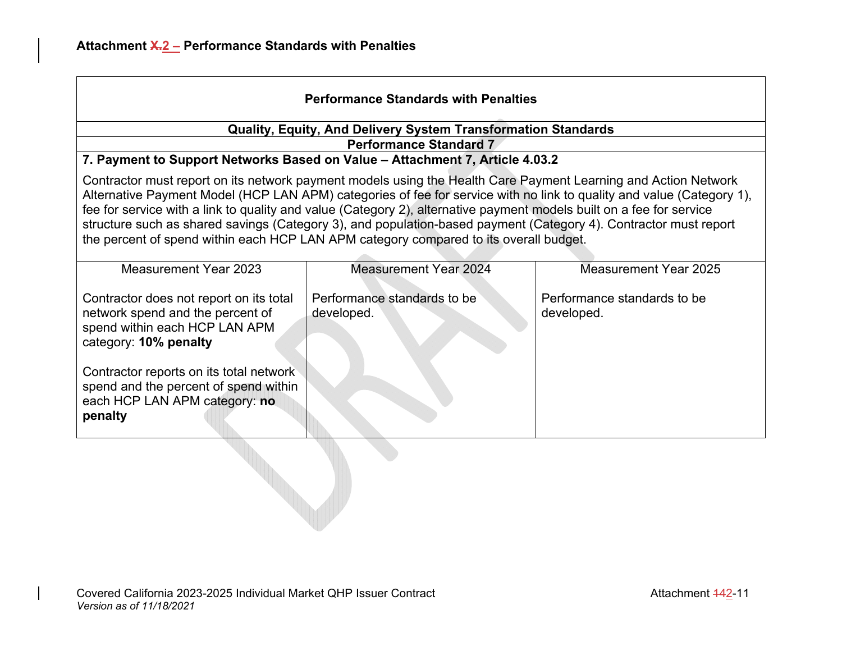| <b>Performance Standards with Penalties</b>                                                                                                                                                                                                                                                                                                                                                                                                                                                                                                                                  |                                                                              |                                           |
|------------------------------------------------------------------------------------------------------------------------------------------------------------------------------------------------------------------------------------------------------------------------------------------------------------------------------------------------------------------------------------------------------------------------------------------------------------------------------------------------------------------------------------------------------------------------------|------------------------------------------------------------------------------|-------------------------------------------|
| Quality, Equity, And Delivery System Transformation Standards                                                                                                                                                                                                                                                                                                                                                                                                                                                                                                                |                                                                              |                                           |
|                                                                                                                                                                                                                                                                                                                                                                                                                                                                                                                                                                              | <b>Performance Standard 7</b>                                                |                                           |
|                                                                                                                                                                                                                                                                                                                                                                                                                                                                                                                                                                              | 7. Payment to Support Networks Based on Value - Attachment 7, Article 4.03.2 |                                           |
| Contractor must report on its network payment models using the Health Care Payment Learning and Action Network<br>Alternative Payment Model (HCP LAN APM) categories of fee for service with no link to quality and value (Category 1),<br>fee for service with a link to quality and value (Category 2), alternative payment models built on a fee for service<br>structure such as shared savings (Category 3), and population-based payment (Category 4). Contractor must report<br>the percent of spend within each HCP LAN APM category compared to its overall budget. |                                                                              |                                           |
| Measurement Year 2023                                                                                                                                                                                                                                                                                                                                                                                                                                                                                                                                                        | <b>Measurement Year 2024</b>                                                 | Measurement Year 2025                     |
| Contractor does not report on its total<br>network spend and the percent of<br>spend within each HCP LAN APM<br>category: 10% penalty                                                                                                                                                                                                                                                                                                                                                                                                                                        | Performance standards to be<br>developed.                                    | Performance standards to be<br>developed. |
| Contractor reports on its total network<br>spend and the percent of spend within<br>each HCP LAN APM category: no<br>penalty                                                                                                                                                                                                                                                                                                                                                                                                                                                 |                                                                              |                                           |
|                                                                                                                                                                                                                                                                                                                                                                                                                                                                                                                                                                              |                                                                              |                                           |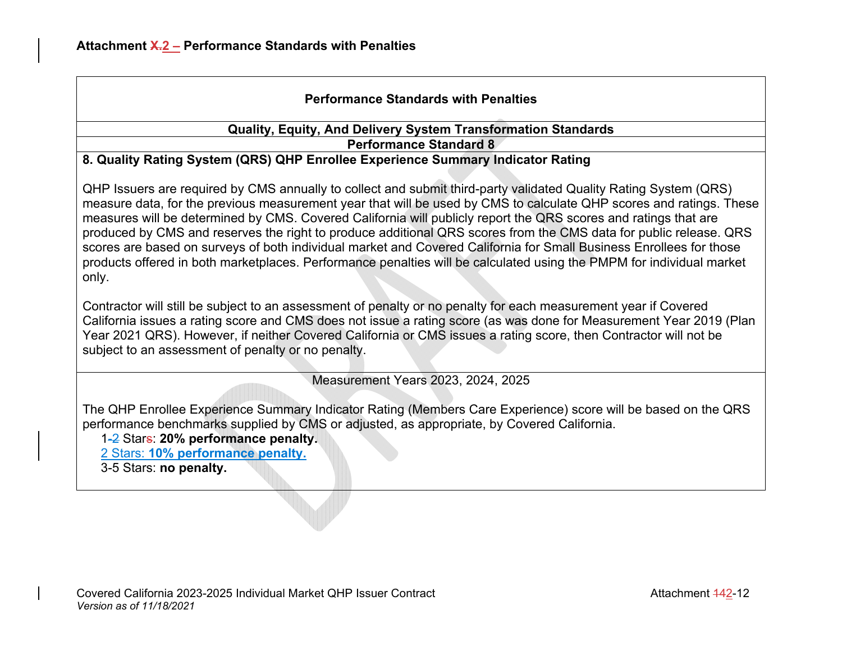# **Performance Standards with Penalties**

#### **Quality, Equity, And Delivery System Transformation Standards Performance Standard 8**

#### **8. Quality Rating System (QRS) QHP Enrollee Experience Summary Indicator Rating**

QHP Issuers are required by CMS annually to collect and submit third-party validated Quality Rating System (QRS) measure data, for the previous measurement year that will be used by CMS to calculate QHP scores and ratings. These measures will be determined by CMS. Covered California will publicly report the QRS scores and ratings that are produced by CMS and reserves the right to produce additional QRS scores from the CMS data for public release. QRS scores are based on surveys of both individual market and Covered California for Small Business Enrollees for those products offered in both marketplaces. Performance penalties will be calculated using the PMPM for individual market only.

Contractor will still be subject to an assessment of penalty or no penalty for each measurement year if Covered California issues a rating score and CMS does not issue a rating score (as was done for Measurement Year 2019 (Plan Year 2021 QRS). However, if neither Covered California or CMS issues a rating score, then Contractor will not be subject to an assessment of penalty or no penalty.

Measurement Years 2023, 2024, 2025

The QHP Enrollee Experience Summary Indicator Rating (Members Care Experience) score will be based on the QRS performance benchmarks supplied by CMS or adjusted, as appropriate, by Covered California.

1-2 Stars: **20% performance penalty.** 

2 Stars: **10% performance penalty.**

3-5 Stars: **no penalty.**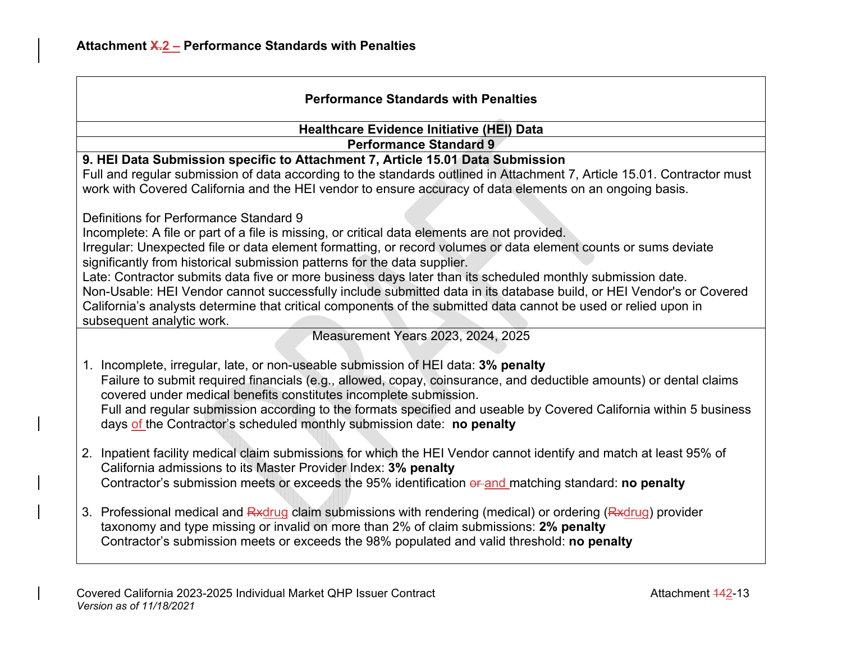| <b>Performance Standards with Penalties</b>                                                                                                                                                                                         |
|-------------------------------------------------------------------------------------------------------------------------------------------------------------------------------------------------------------------------------------|
| <b>Healthcare Evidence Initiative (HEI) Data</b>                                                                                                                                                                                    |
| <b>Performance Standard 9</b>                                                                                                                                                                                                       |
| 9. HEI Data Submission specific to Attachment 7, Article 15.01 Data Submission                                                                                                                                                      |
| Full and regular submission of data according to the standards outlined in Attachment 7, Article 15.01. Contractor must<br>work with Covered California and the HEI vendor to ensure accuracy of data elements on an ongoing basis. |
| Definitions for Performance Standard 9                                                                                                                                                                                              |
| Incomplete: A file or part of a file is missing, or critical data elements are not provided.                                                                                                                                        |
| Irregular: Unexpected file or data element formatting, or record volumes or data element counts or sums deviate<br>significantly from historical submission patterns for the data supplier.                                         |
| Late: Contractor submits data five or more business days later than its scheduled monthly submission date.                                                                                                                          |
| Non-Usable: HEI Vendor cannot successfully include submitted data in its database build, or HEI Vendor's or Covered                                                                                                                 |
| California's analysts determine that critical components of the submitted data cannot be used or relied upon in                                                                                                                     |
| subsequent analytic work.                                                                                                                                                                                                           |
| Measurement Years 2023, 2024, 2025                                                                                                                                                                                                  |
| 1. Incomplete, irregular, late, or non-useable submission of HEI data: 3% penalty                                                                                                                                                   |
| Failure to submit required financials (e.g., allowed, copay, coinsurance, and deductible amounts) or dental claims<br>covered under medical benefits constitutes incomplete submission.                                             |
| Full and regular submission according to the formats specified and useable by Covered California within 5 business<br>days of the Contractor's scheduled monthly submission date: no penalty                                        |
| 2. Inpatient facility medical claim submissions for which the HEI Vendor cannot identify and match at least 95% of<br>California admissions to its Master Provider Index: 3% penalty                                                |
| Contractor's submission meets or exceeds the 95% identification or and matching standard: no penalty                                                                                                                                |
| 3. Professional medical and Rxdrug claim submissions with rendering (medical) or ordering (Rxdrug) provider<br>taxonomy and type missing or invalid on more than 2% of claim submissions: 2% penalty                                |
| Contractor's submission meets or exceeds the 98% populated and valid threshold: no penalty                                                                                                                                          |
|                                                                                                                                                                                                                                     |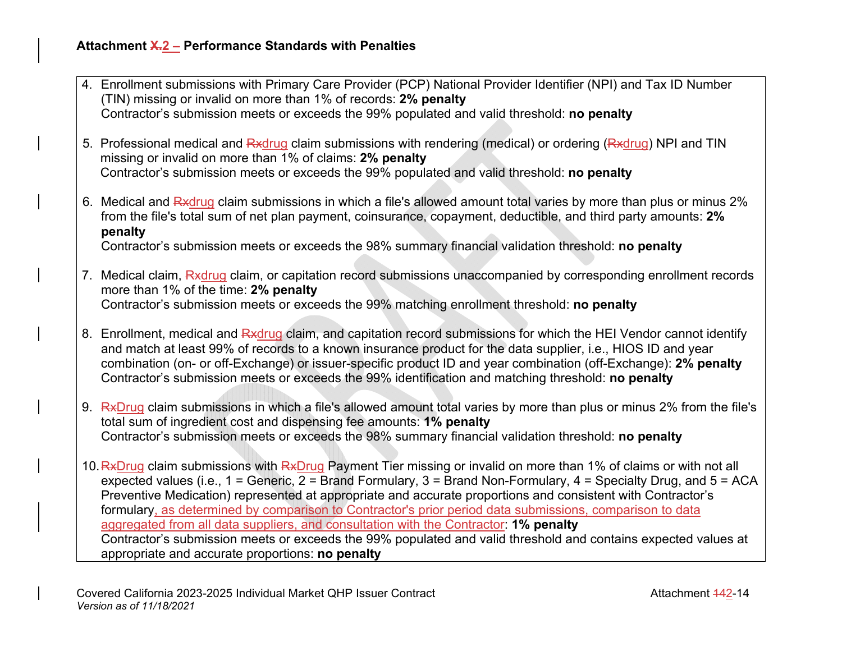|  | 4. Enrollment submissions with Primary Care Provider (PCP) National Provider Identifier (NPI) and Tax ID Number<br>(TIN) missing or invalid on more than 1% of records: 2% penalty                                                                                                                                                                                                                                                                                                                                                                                   |
|--|----------------------------------------------------------------------------------------------------------------------------------------------------------------------------------------------------------------------------------------------------------------------------------------------------------------------------------------------------------------------------------------------------------------------------------------------------------------------------------------------------------------------------------------------------------------------|
|  | Contractor's submission meets or exceeds the 99% populated and valid threshold: no penalty                                                                                                                                                                                                                                                                                                                                                                                                                                                                           |
|  | 5. Professional medical and Rxdrug claim submissions with rendering (medical) or ordering (Rxdrug) NPI and TIN<br>missing or invalid on more than 1% of claims: 2% penalty<br>Contractor's submission meets or exceeds the 99% populated and valid threshold: no penalty                                                                                                                                                                                                                                                                                             |
|  |                                                                                                                                                                                                                                                                                                                                                                                                                                                                                                                                                                      |
|  | 6. Medical and Rxdrug claim submissions in which a file's allowed amount total varies by more than plus or minus 2%<br>from the file's total sum of net plan payment, coinsurance, copayment, deductible, and third party amounts: 2%<br>penalty                                                                                                                                                                                                                                                                                                                     |
|  | Contractor's submission meets or exceeds the 98% summary financial validation threshold: no penalty                                                                                                                                                                                                                                                                                                                                                                                                                                                                  |
|  | 7. Medical claim, Rxdrug claim, or capitation record submissions unaccompanied by corresponding enrollment records<br>more than 1% of the time: 2% penalty<br>Contractor's submission meets or exceeds the 99% matching enrollment threshold: no penalty                                                                                                                                                                                                                                                                                                             |
|  |                                                                                                                                                                                                                                                                                                                                                                                                                                                                                                                                                                      |
|  | 8. Enrollment, medical and Rxdrug claim, and capitation record submissions for which the HEI Vendor cannot identify<br>and match at least 99% of records to a known insurance product for the data supplier, i.e., HIOS ID and year<br>combination (on- or off-Exchange) or issuer-specific product ID and year combination (off-Exchange): 2% penalty<br>Contractor's submission meets or exceeds the 99% identification and matching threshold: no penalty                                                                                                         |
|  | 9. RxDrug claim submissions in which a file's allowed amount total varies by more than plus or minus 2% from the file's<br>total sum of ingredient cost and dispensing fee amounts: 1% penalty<br>Contractor's submission meets or exceeds the 98% summary financial validation threshold: no penalty                                                                                                                                                                                                                                                                |
|  | 10. RxDrug claim submissions with RxDrug Payment Tier missing or invalid on more than 1% of claims or with not all<br>expected values (i.e., $1 =$ Generic, $2 =$ Brand Formulary, $3 =$ Brand Non-Formulary, $4 =$ Specialty Drug, and $5 =$ ACA<br>Preventive Medication) represented at appropriate and accurate proportions and consistent with Contractor's<br>formulary, as determined by comparison to Contractor's prior period data submissions, comparison to data<br>aggregated from all data suppliers, and consultation with the Contractor: 1% penalty |
|  | Contractor's submission meets or exceeds the 99% populated and valid threshold and contains expected values at<br>appropriate and accurate proportions: no penalty                                                                                                                                                                                                                                                                                                                                                                                                   |
|  |                                                                                                                                                                                                                                                                                                                                                                                                                                                                                                                                                                      |